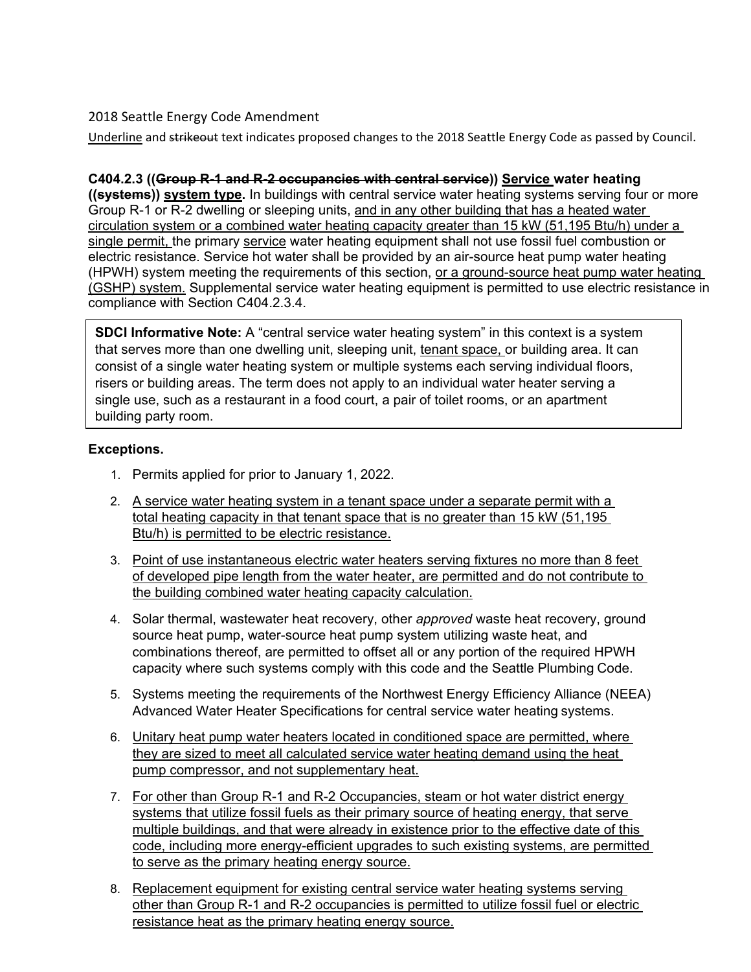## 2018 Seattle Energy Code Amendment

Underline and strikeout text indicates proposed changes to the 2018 Seattle Energy Code as passed by Council.

## **C404.2.3 ((Group R-1 and R-2 occupancies with central service)) Service water heating**

**((systems)) system type.** In buildings with central service water heating systems serving four or more Group R-1 or R-2 dwelling or sleeping units, and in any other building that has a heated water circulation system or a combined water heating capacity greater than 15 kW (51,195 Btu/h) under a single permit, the primary service water heating equipment shall not use fossil fuel combustion or electric resistance. Service hot water shall be provided by an air-source heat pump water heating (HPWH) system meeting the requirements of this section, or a ground-source heat pump water heating (GSHP) system. Supplemental service water heating equipment is permitted to use electric resistance in compliance with Section C404.2.3.4.

**SDCI Informative Note:** A "central service water heating system" in this context is a system that serves more than one dwelling unit, sleeping unit, tenant space, or building area. It can consist of a single water heating system or multiple systems each serving individual floors, risers or building areas. The term does not apply to an individual water heater serving a single use, such as a restaurant in a food court, a pair of toilet rooms, or an apartment building party room.

## **Exceptions.**

- 1. Permits applied for prior to January 1, 2022.
- 2. A service water heating system in a tenant space under a separate permit with a total heating capacity in that tenant space that is no greater than 15 kW (51,195 Btu/h) is permitted to be electric resistance.
- 3. Point of use instantaneous electric water heaters serving fixtures no more than 8 feet of developed pipe length from the water heater, are permitted and do not contribute to the building combined water heating capacity calculation.
- 4. Solar thermal, wastewater heat recovery, other *approved* waste heat recovery, ground source heat pump, water-source heat pump system utilizing waste heat, and combinations thereof, are permitted to offset all or any portion of the required HPWH capacity where such systems comply with this code and the Seattle Plumbing Code.
- 5. Systems meeting the requirements of the Northwest Energy Efficiency Alliance (NEEA) Advanced Water Heater Specifications for central service water heating systems.
- 6. Unitary heat pump water heaters located in conditioned space are permitted, where they are sized to meet all calculated service water heating demand using the heat pump compressor, and not supplementary heat.
- 7. For other than Group R-1 and R-2 Occupancies, steam or hot water district energy systems that utilize fossil fuels as their primary source of heating energy, that serve multiple buildings, and that were already in existence prior to the effective date of this code, including more energy-efficient upgrades to such existing systems, are permitted to serve as the primary heating energy source.
- 8. Replacement equipment for existing central service water heating systems serving other than Group R-1 and R-2 occupancies is permitted to utilize fossil fuel or electric resistance heat as the primary heating energy source.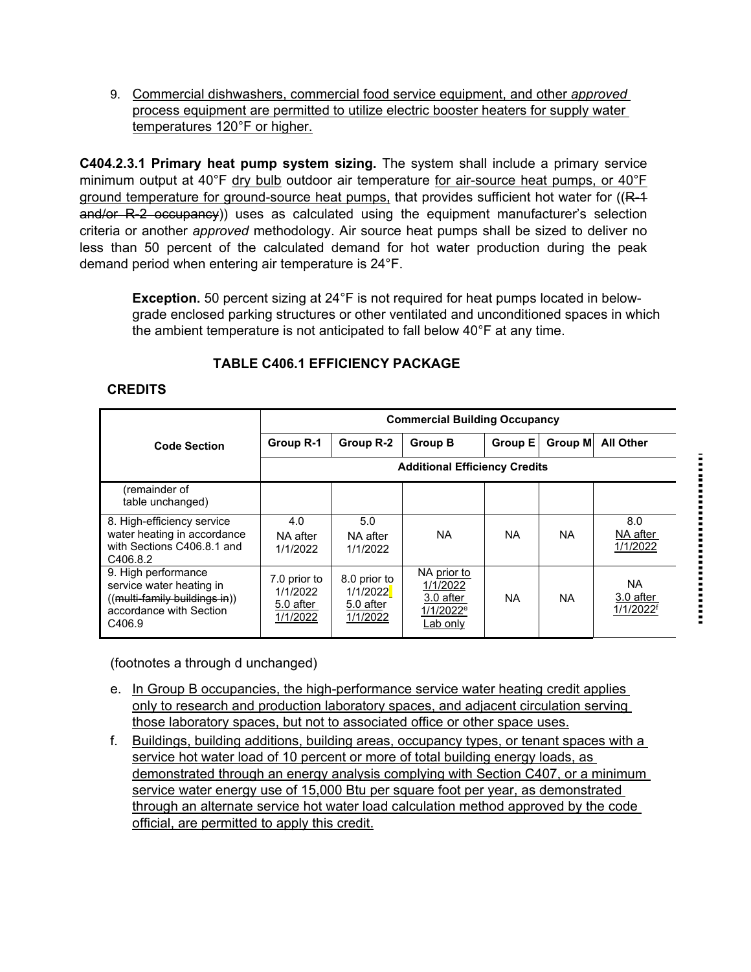9. Commercial dishwashers, commercial food service equipment, and other *approved* process equipment are permitted to utilize electric booster heaters for supply water temperatures 120°F or higher.

**C404.2.3.1 Primary heat pump system sizing.** The system shall include a primary service minimum output at 40°F dry bulb outdoor air temperature for air-source heat pumps, or 40°F ground temperature for ground-source heat pumps, that provides sufficient hot water for  $((R-4)$ and/or R-2 occupancy)) uses as calculated using the equipment manufacturer's selection criteria or another *approved* methodology. Air source heat pumps shall be sized to deliver no less than 50 percent of the calculated demand for hot water production during the peak demand period when entering air temperature is 24°F.

**Exception.** 50 percent sizing at 24°F is not required for heat pumps located in belowgrade enclosed parking structures or other ventilated and unconditioned spaces in which the ambient temperature is not anticipated to fall below 40°F at any time.

|                                                                                                                       | <b>Commercial Building Occupancy</b>              |                                                   |                                                                           |                |         |                                                 |
|-----------------------------------------------------------------------------------------------------------------------|---------------------------------------------------|---------------------------------------------------|---------------------------------------------------------------------------|----------------|---------|-------------------------------------------------|
| <b>Code Section</b>                                                                                                   | Group R-1                                         | Group R-2                                         | <b>Group B</b>                                                            | <b>Group E</b> | Group M | <b>All Other</b>                                |
|                                                                                                                       | <b>Additional Efficiency Credits</b>              |                                                   |                                                                           |                |         |                                                 |
| (remainder of<br>table unchanged)                                                                                     |                                                   |                                                   |                                                                           |                |         |                                                 |
| 8. High-efficiency service<br>water heating in accordance<br>with Sections C406.8.1 and<br>C406.8.2                   | 4.0<br>NA after<br>1/1/2022                       | 5.0<br>NA after<br>1/1/2022                       | ΝA                                                                        | <b>NA</b>      | NA.     | 8.0<br>NA after<br>1/1/2022                     |
| 9. High performance<br>service water heating in<br>((multi-family buildings in))<br>accordance with Section<br>C406.9 | 7.0 prior to<br>1/1/2022<br>5.0 after<br>1/1/2022 | 8.0 prior to<br>1/1/2022<br>5.0 after<br>1/1/2022 | NA prior to<br>1/1/2022<br>3.0 after<br>1/1/2022 <sup>e</sup><br>Lab only | <b>NA</b>      | NA.     | <b>NA</b><br>3.0 after<br>1/1/2022 <sup>f</sup> |

# **TABLE C406.1 EFFICIENCY PACKAGE**

### **CREDITS**

(footnotes a through d unchanged)

- e. In Group B occupancies, the high-performance service water heating credit applies only to research and production laboratory spaces, and adjacent circulation serving those laboratory spaces, but not to associated office or other space uses.
- f. Buildings, building additions, building areas, occupancy types, or tenant spaces with a service hot water load of 10 percent or more of total building energy loads, as demonstrated through an energy analysis complying with Section C407, or a minimum service water energy use of 15,000 Btu per square foot per year, as demonstrated through an alternate service hot water load calculation method approved by the code official, are permitted to apply this credit.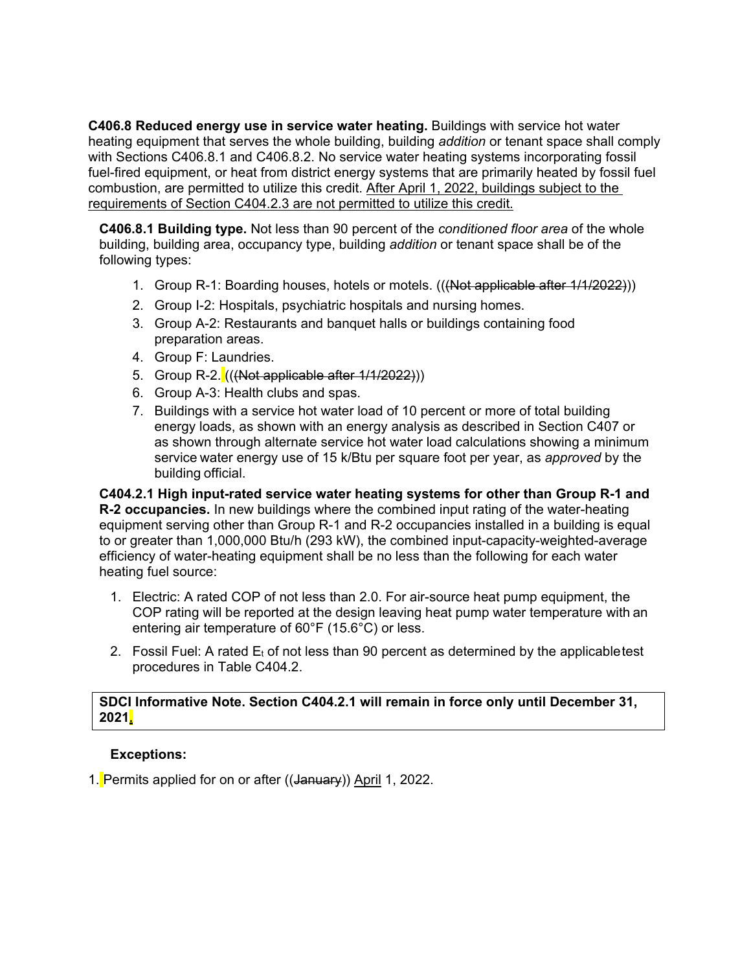**C406.8 Reduced energy use in service water heating.** Buildings with service hot water heating equipment that serves the whole building, building *addition* or tenant space shall comply with Sections C406.8.1 and C406.8.2. No service water heating systems incorporating fossil fuel-fired equipment, or heat from district energy systems that are primarily heated by fossil fuel combustion, are permitted to utilize this credit. After April 1, 2022, buildings subject to the requirements of Section C404.2.3 are not permitted to utilize this credit.

**C406.8.1 Building type.** Not less than 90 percent of the *conditioned floor area* of the whole building, building area, occupancy type, building *addition* or tenant space shall be of the following types:

- 1. Group R-1: Boarding houses, hotels or motels. (((Not applicable after  $1/1/2022$ )))
- 2. Group I-2: Hospitals, psychiatric hospitals and nursing homes.
- 3. Group A-2: Restaurants and banquet halls or buildings containing food preparation areas.
- 4. Group F: Laundries.
- 5. Group R-2. (((Not applicable after 1/1/2022)))
- 6. Group A-3: Health clubs and spas.
- 7. Buildings with a service hot water load of 10 percent or more of total building energy loads, as shown with an energy analysis as described in Section C407 or as shown through alternate service hot water load calculations showing a minimum service water energy use of 15 k/Btu per square foot per year, as *approved* by the building official.

**C404.2.1 High input-rated service water heating systems for other than Group R-1 and R-2 occupancies.** In new buildings where the combined input rating of the water-heating equipment serving other than Group R-1 and R-2 occupancies installed in a building is equal to or greater than 1,000,000 Btu/h (293 kW), the combined input-capacity-weighted-average efficiency of water-heating equipment shall be no less than the following for each water heating fuel source:

- 1. Electric: A rated COP of not less than 2.0. For air-source heat pump equipment, the COP rating will be reported at the design leaving heat pump water temperature with an entering air temperature of 60°F (15.6°C) or less.
- 2. Fossil Fuel: A rated  $E_t$  of not less than 90 percent as determined by the applicable test procedures in Table C404.2.

### **SDCI Informative Note. Section C404.2.1 will remain in force only until December 31, 2021.**

#### **Exceptions:**

1. Permits applied for on or after ((January)) April 1, 2022.